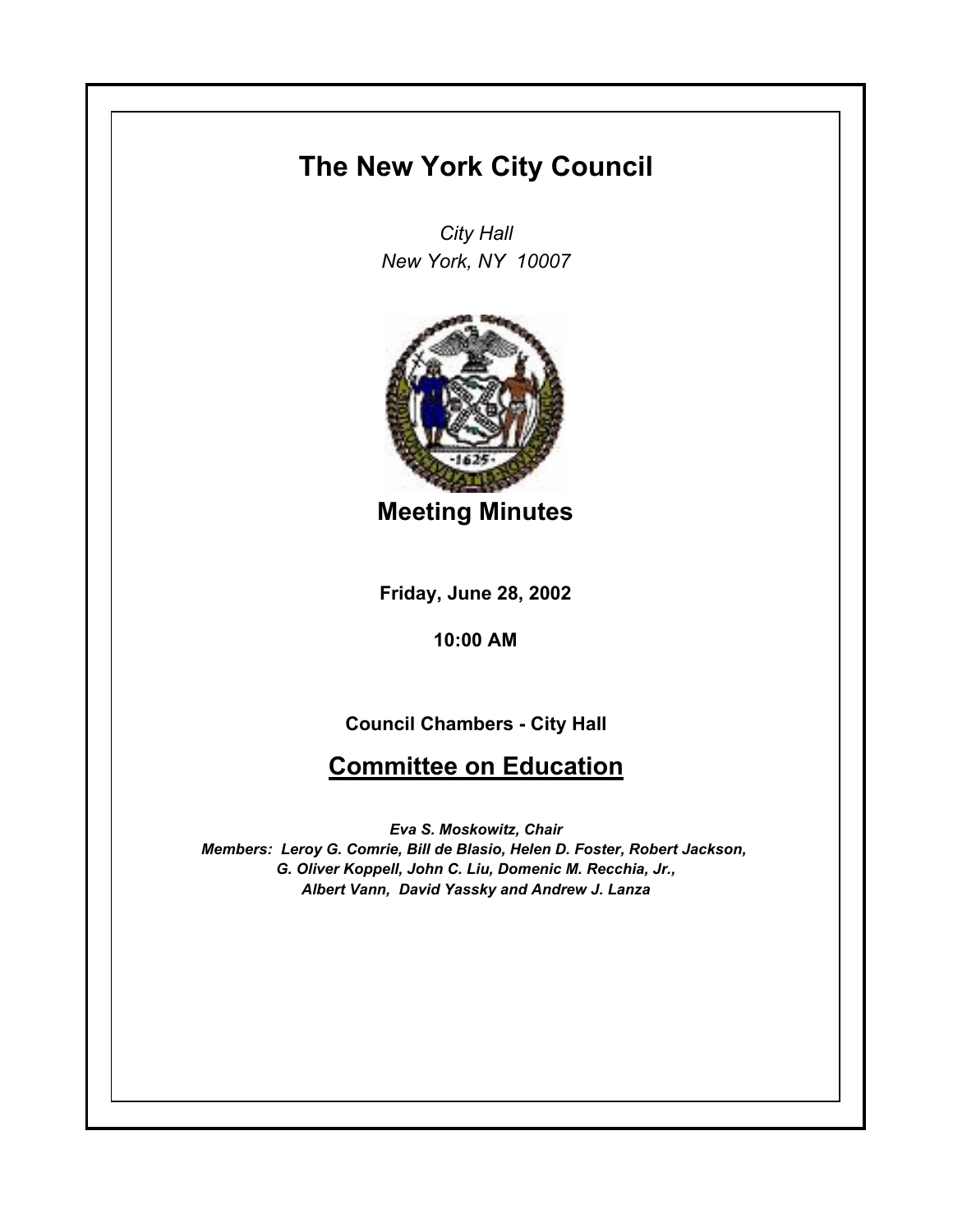## **The New York City Council**

*City Hall New York, NY 10007*



**Meeting Minutes**

**Friday, June 28, 2002**

**10:00 AM**

## **Council Chambers - City Hall**

## **Committee on Education**

*Eva S. Moskowitz, Chair Members: Leroy G. Comrie, Bill de Blasio, Helen D. Foster, Robert Jackson, G. Oliver Koppell, John C. Liu, Domenic M. Recchia, Jr., Albert Vann, David Yassky and Andrew J. Lanza*